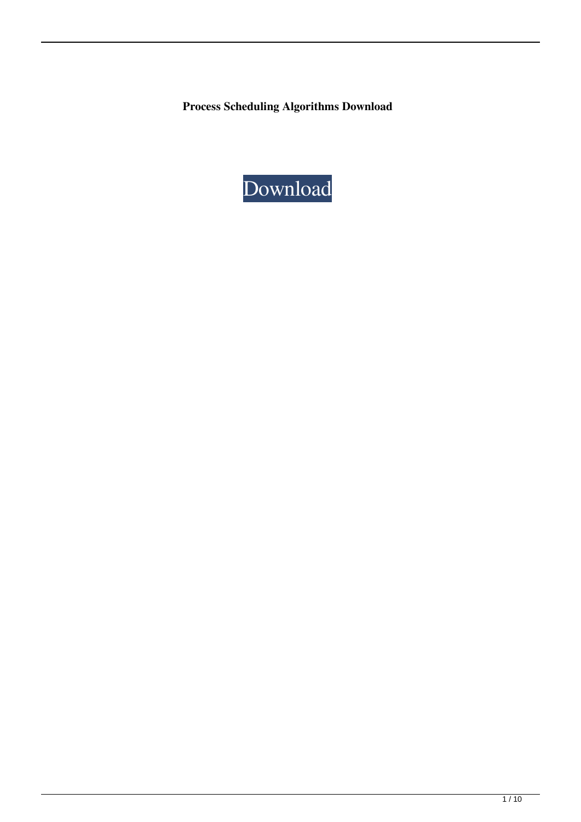**Process Scheduling Algorithms Download**

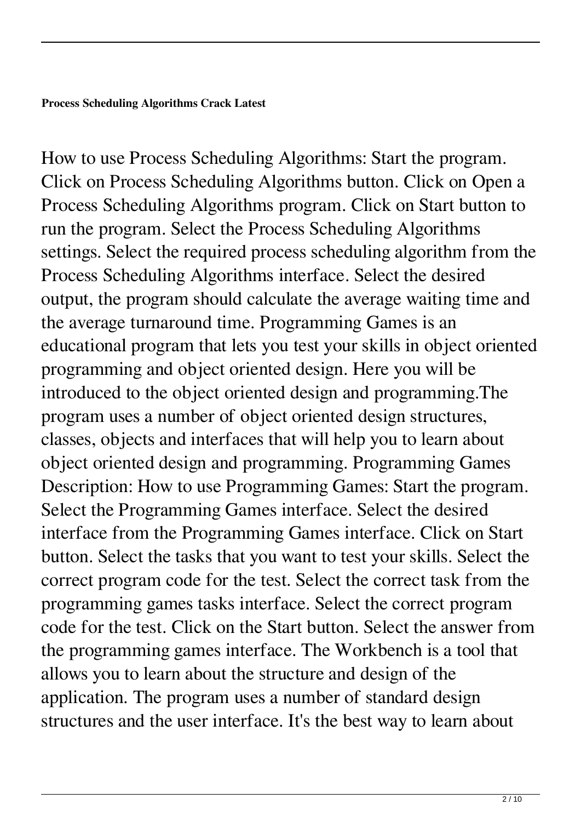How to use Process Scheduling Algorithms: Start the program. Click on Process Scheduling Algorithms button. Click on Open a Process Scheduling Algorithms program. Click on Start button to run the program. Select the Process Scheduling Algorithms settings. Select the required process scheduling algorithm from the Process Scheduling Algorithms interface. Select the desired output, the program should calculate the average waiting time and the average turnaround time. Programming Games is an educational program that lets you test your skills in object oriented programming and object oriented design. Here you will be introduced to the object oriented design and programming.The program uses a number of object oriented design structures, classes, objects and interfaces that will help you to learn about object oriented design and programming. Programming Games Description: How to use Programming Games: Start the program. Select the Programming Games interface. Select the desired interface from the Programming Games interface. Click on Start button. Select the tasks that you want to test your skills. Select the correct program code for the test. Select the correct task from the programming games tasks interface. Select the correct program code for the test. Click on the Start button. Select the answer from the programming games interface. The Workbench is a tool that allows you to learn about the structure and design of the application. The program uses a number of standard design structures and the user interface. It's the best way to learn about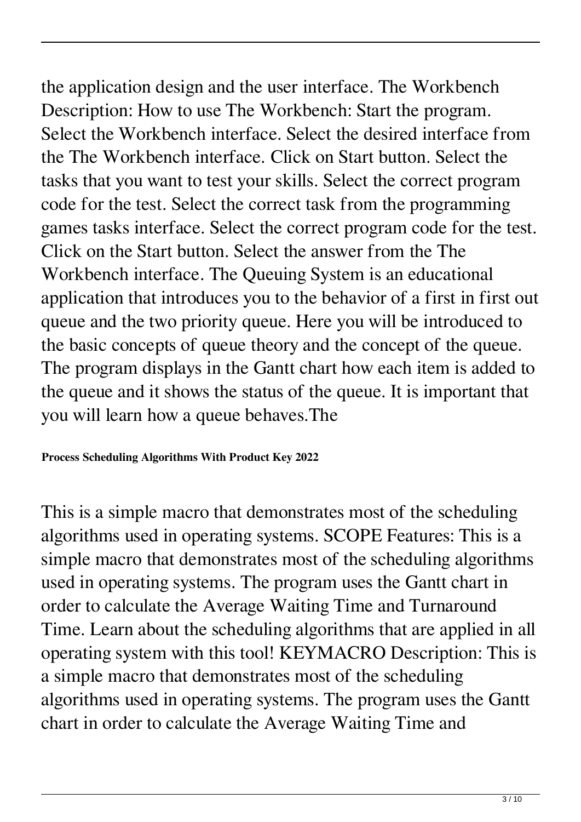the application design and the user interface. The Workbench Description: How to use The Workbench: Start the program. Select the Workbench interface. Select the desired interface from the The Workbench interface. Click on Start button. Select the tasks that you want to test your skills. Select the correct program code for the test. Select the correct task from the programming games tasks interface. Select the correct program code for the test. Click on the Start button. Select the answer from the The Workbench interface. The Queuing System is an educational application that introduces you to the behavior of a first in first out queue and the two priority queue. Here you will be introduced to the basic concepts of queue theory and the concept of the queue. The program displays in the Gantt chart how each item is added to the queue and it shows the status of the queue. It is important that you will learn how a queue behaves.The

## **Process Scheduling Algorithms With Product Key 2022**

This is a simple macro that demonstrates most of the scheduling algorithms used in operating systems. SCOPE Features: This is a simple macro that demonstrates most of the scheduling algorithms used in operating systems. The program uses the Gantt chart in order to calculate the Average Waiting Time and Turnaround Time. Learn about the scheduling algorithms that are applied in all operating system with this tool! KEYMACRO Description: This is a simple macro that demonstrates most of the scheduling algorithms used in operating systems. The program uses the Gantt chart in order to calculate the Average Waiting Time and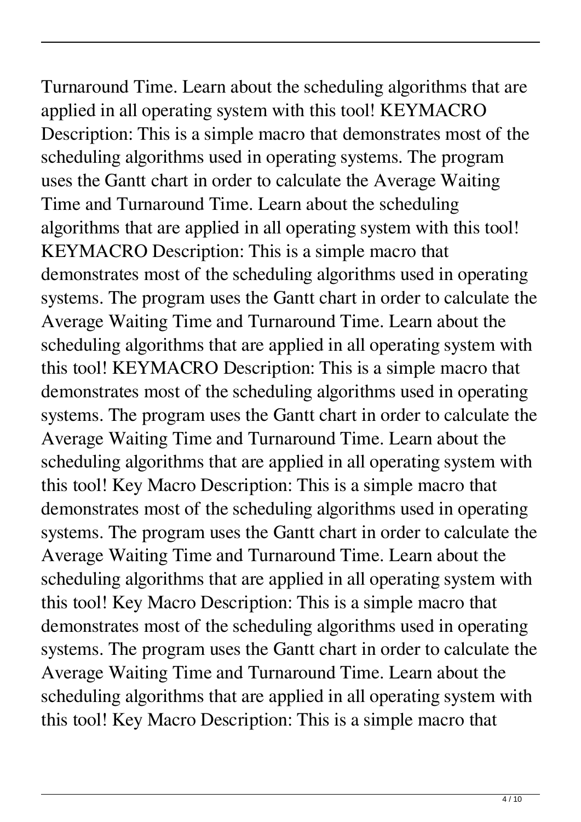Turnaround Time. Learn about the scheduling algorithms that are applied in all operating system with this tool! KEYMACRO Description: This is a simple macro that demonstrates most of the scheduling algorithms used in operating systems. The program uses the Gantt chart in order to calculate the Average Waiting Time and Turnaround Time. Learn about the scheduling algorithms that are applied in all operating system with this tool! KEYMACRO Description: This is a simple macro that demonstrates most of the scheduling algorithms used in operating systems. The program uses the Gantt chart in order to calculate the Average Waiting Time and Turnaround Time. Learn about the scheduling algorithms that are applied in all operating system with this tool! KEYMACRO Description: This is a simple macro that demonstrates most of the scheduling algorithms used in operating systems. The program uses the Gantt chart in order to calculate the Average Waiting Time and Turnaround Time. Learn about the scheduling algorithms that are applied in all operating system with this tool! Key Macro Description: This is a simple macro that demonstrates most of the scheduling algorithms used in operating systems. The program uses the Gantt chart in order to calculate the Average Waiting Time and Turnaround Time. Learn about the scheduling algorithms that are applied in all operating system with this tool! Key Macro Description: This is a simple macro that demonstrates most of the scheduling algorithms used in operating systems. The program uses the Gantt chart in order to calculate the Average Waiting Time and Turnaround Time. Learn about the scheduling algorithms that are applied in all operating system with this tool! Key Macro Description: This is a simple macro that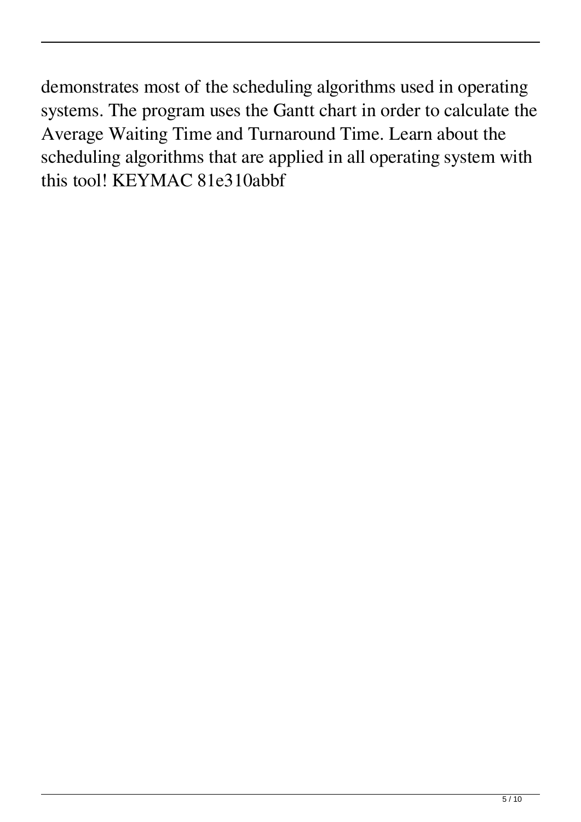demonstrates most of the scheduling algorithms used in operating systems. The program uses the Gantt chart in order to calculate the Average Waiting Time and Turnaround Time. Learn about the scheduling algorithms that are applied in all operating system with this tool! KEYMAC 81e310abbf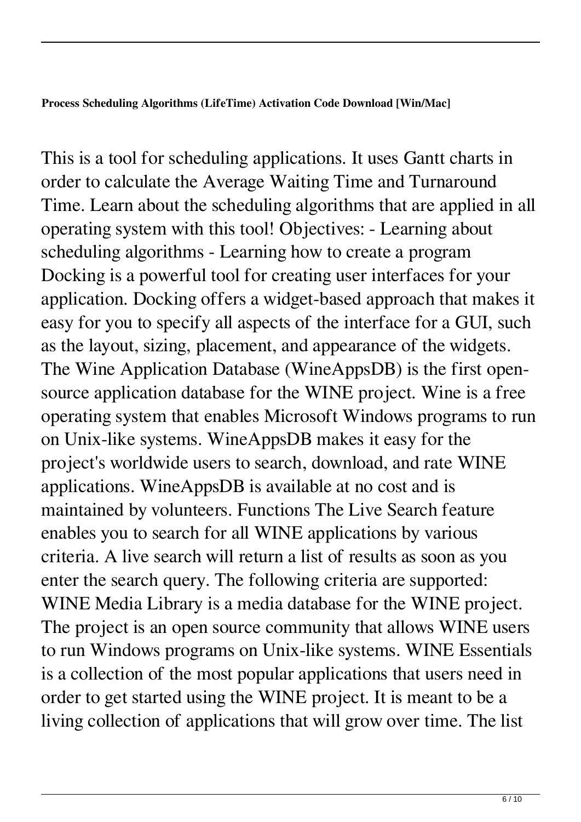**Process Scheduling Algorithms (LifeTime) Activation Code Download [Win/Mac]**

This is a tool for scheduling applications. It uses Gantt charts in order to calculate the Average Waiting Time and Turnaround Time. Learn about the scheduling algorithms that are applied in all operating system with this tool! Objectives: - Learning about scheduling algorithms - Learning how to create a program Docking is a powerful tool for creating user interfaces for your application. Docking offers a widget-based approach that makes it easy for you to specify all aspects of the interface for a GUI, such as the layout, sizing, placement, and appearance of the widgets. The Wine Application Database (WineAppsDB) is the first opensource application database for the WINE project. Wine is a free operating system that enables Microsoft Windows programs to run on Unix-like systems. WineAppsDB makes it easy for the project's worldwide users to search, download, and rate WINE applications. WineAppsDB is available at no cost and is maintained by volunteers. Functions The Live Search feature enables you to search for all WINE applications by various criteria. A live search will return a list of results as soon as you enter the search query. The following criteria are supported: WINE Media Library is a media database for the WINE project. The project is an open source community that allows WINE users to run Windows programs on Unix-like systems. WINE Essentials is a collection of the most popular applications that users need in order to get started using the WINE project. It is meant to be a living collection of applications that will grow over time. The list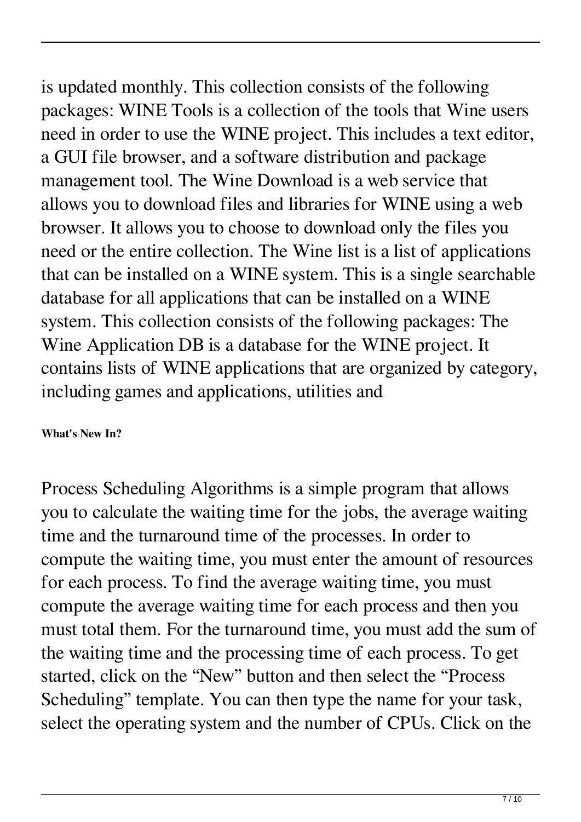is updated monthly. This collection consists of the following packages: WINE Tools is a collection of the tools that Wine users need in order to use the WINE project. This includes a text editor, a GUI file browser, and a software distribution and package management tool. The Wine Download is a web service that allows you to download files and libraries for WINE using a web browser. It allows you to choose to download only the files you need or the entire collection. The Wine list is a list of applications that can be installed on a WINE system. This is a single searchable database for all applications that can be installed on a WINE system. This collection consists of the following packages: The Wine Application DB is a database for the WINE project. It contains lists of WINE applications that are organized by category, including games and applications, utilities and

## **What's New In?**

Process Scheduling Algorithms is a simple program that allows you to calculate the waiting time for the jobs, the average waiting time and the turnaround time of the processes. In order to compute the waiting time, you must enter the amount of resources for each process. To find the average waiting time, you must compute the average waiting time for each process and then you must total them. For the turnaround time, you must add the sum of the waiting time and the processing time of each process. To get started, click on the "New" button and then select the "Process Scheduling" template. You can then type the name for your task, select the operating system and the number of CPUs. Click on the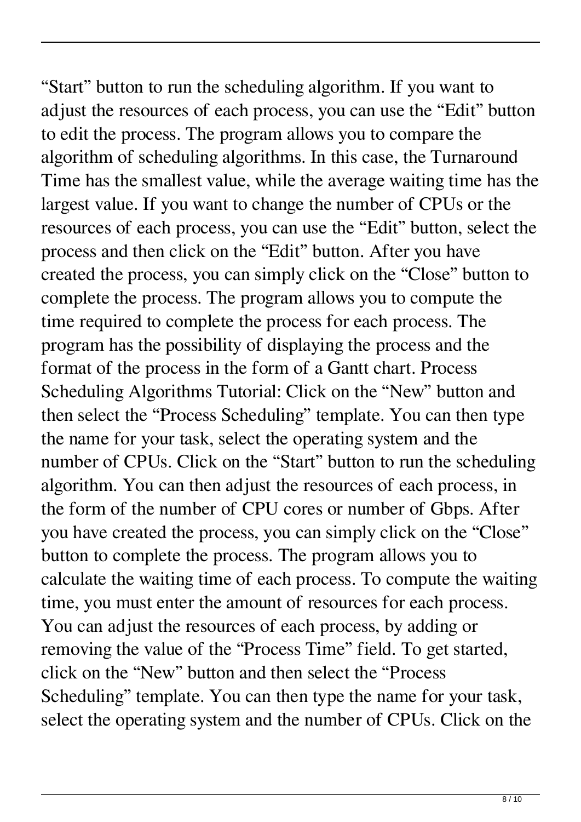"Start" button to run the scheduling algorithm. If you want to adjust the resources of each process, you can use the "Edit" button to edit the process. The program allows you to compare the algorithm of scheduling algorithms. In this case, the Turnaround Time has the smallest value, while the average waiting time has the largest value. If you want to change the number of CPUs or the resources of each process, you can use the "Edit" button, select the process and then click on the "Edit" button. After you have created the process, you can simply click on the "Close" button to complete the process. The program allows you to compute the time required to complete the process for each process. The program has the possibility of displaying the process and the format of the process in the form of a Gantt chart. Process Scheduling Algorithms Tutorial: Click on the "New" button and then select the "Process Scheduling" template. You can then type the name for your task, select the operating system and the number of CPUs. Click on the "Start" button to run the scheduling algorithm. You can then adjust the resources of each process, in the form of the number of CPU cores or number of Gbps. After you have created the process, you can simply click on the "Close" button to complete the process. The program allows you to calculate the waiting time of each process. To compute the waiting time, you must enter the amount of resources for each process. You can adjust the resources of each process, by adding or removing the value of the "Process Time" field. To get started, click on the "New" button and then select the "Process Scheduling" template. You can then type the name for your task, select the operating system and the number of CPUs. Click on the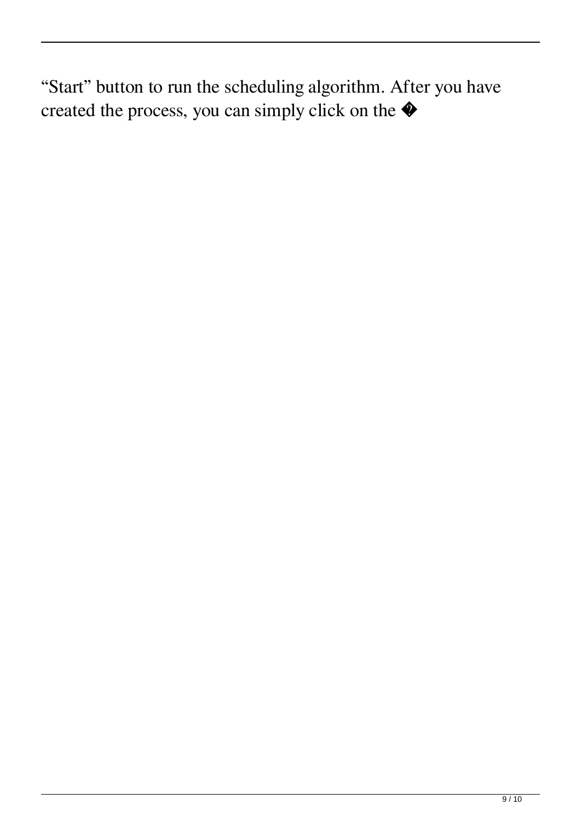"Start" button to run the scheduling algorithm. After you have created the process, you can simply click on the �